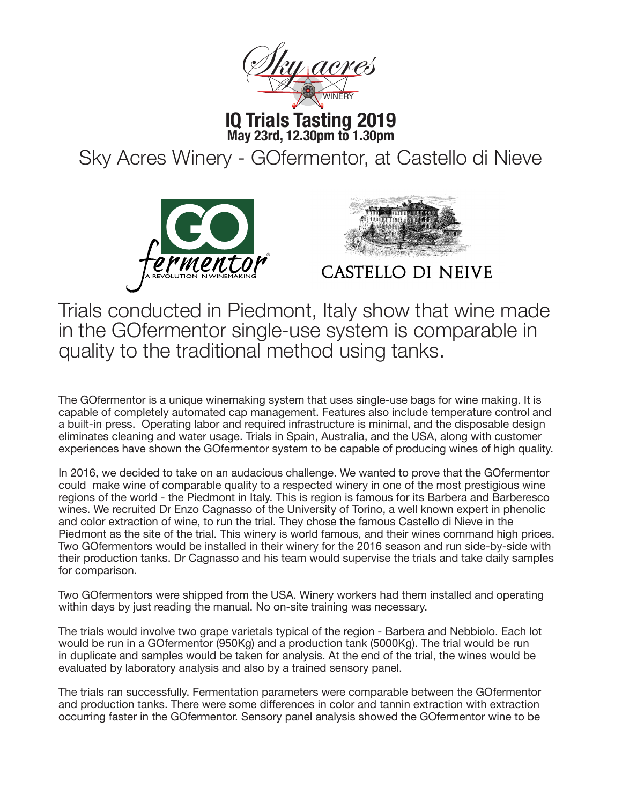

**IQ Trials Tasting 2019 May 23rd, 12.30pm to 1.30pm**

Sky Acres Winery - GOfermentor, at Castello di Nieve





CASTELLO DI NEIVE

Trials conducted in Piedmont, Italy show that wine made in the GOfermentor single-use system is comparable in quality to the traditional method using tanks.

The GOfermentor is a unique winemaking system that uses single-use bags for wine making. It is capable of completely automated cap management. Features also include temperature control and a built-in press. Operating labor and required infrastructure is minimal, and the disposable design eliminates cleaning and water usage. Trials in Spain, Australia, and the USA, along with customer experiences have shown the GOfermentor system to be capable of producing wines of high quality.

In 2016, we decided to take on an audacious challenge. We wanted to prove that the GOfermentor could make wine of comparable quality to a respected winery in one of the most prestigious wine regions of the world - the Piedmont in Italy. This is region is famous for its Barbera and Barberesco wines. We recruited Dr Enzo Cagnasso of the University of Torino, a well known expert in phenolic and color extraction of wine, to run the trial. They chose the famous Castello di Nieve in the Piedmont as the site of the trial. This winery is world famous, and their wines command high prices. Two GOfermentors would be installed in their winery for the 2016 season and run side-by-side with their production tanks. Dr Cagnasso and his team would supervise the trials and take daily samples for comparison.

Two GOfermentors were shipped from the USA. Winery workers had them installed and operating within days by just reading the manual. No on-site training was necessary.

The trials would involve two grape varietals typical of the region - Barbera and Nebbiolo. Each lot would be run in a GOfermentor (950Kg) and a production tank (5000Kg). The trial would be run in duplicate and samples would be taken for analysis. At the end of the trial, the wines would be evaluated by laboratory analysis and also by a trained sensory panel.

The trials ran successfully. Fermentation parameters were comparable between the GOfermentor and production tanks. There were some differences in color and tannin extraction with extraction occurring faster in the GOfermentor. Sensory panel analysis showed the GOfermentor wine to be